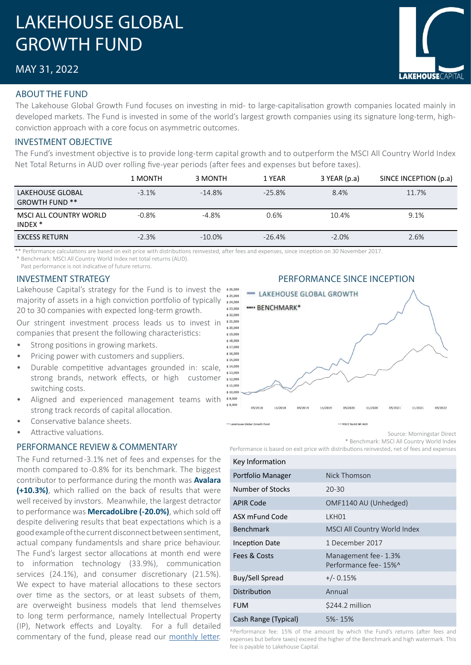# LAKEHOUSE GLOBAL GROWTH FUND

# MAY 31, 2022

#### ABOUT THE FUND

The Lakehouse Global Growth Fund focuses on investing in mid- to large-capitalisation growth companies located mainly in developed markets. The Fund is invested in some of the world's largest growth companies using its signature long-term, highconviction approach with a core focus on asymmetric outcomes.

#### INVESTMENT OBJECTIVE

The Fund's investment objective is to provide long-term capital growth and to outperform the MSCI All Country World Index Net Total Returns in AUD over rolling five-year periods (after fees and expenses but before taxes).

|                                              | 1 MONTH | 3 MONTH   | 1 YEAR   | 3 YEAR (p.a) | SINCE INCEPTION (p.a) |
|----------------------------------------------|---------|-----------|----------|--------------|-----------------------|
| LAKEHOUSE GLOBAL<br><b>GROWTH FUND **</b>    | $-3.1%$ | $-14.8%$  | $-25.8%$ | 8.4%         | 11.7%                 |
| MSCI ALL COUNTRY WORLD<br>INDEX <sup>*</sup> | $-0.8%$ | $-4.8%$   | 0.6%     | 10.4%        | 9.1%                  |
| <b>EXCESS RETURN</b>                         | $-2.3%$ | $-10.0\%$ | $-26.4%$ | $-2.0%$      | 2.6%                  |

\*\* Performance calculations are based on exit price with distributions reinvested, after fees and expenses, since inception on 30 November 2017. \* Benchmark: MSCI All Country World Index net total returns (AUD).

Past performance is not indicative of future returns.

### INVESTMENT STRATEGY

Lakehouse Capital's strategy for the Fund is to invest the \*26,000 majority of assets in a high conviction portfolio of typically  $$24.000$ 20 to 30 companies with expected long-term growth.

Our stringent investment process leads us to invest in companies that present the following characteristics:

- Strong positions in growing markets.
- Pricing power with customers and suppliers.
- Durable competitive advantages grounded in: scale, strong brands, network effects, or high customer switching costs.
- Aligned and experienced management teams with strong track records of capital allocation.
- Conservative balance sheets.
- Attractive valuations.

#### PERFORMANCE REVIEW & COMMENTARY

The Fund returned -3.1% net of fees and expenses for the month compared to -0.8% for its benchmark. The biggest contributor to performance during the month was **Avalara (+10.3%)**, which rallied on the back of results that were well received by invstors. Meanwhile, the largest detractor to performance was **MercadoLibre (-20.0%)**, which sold off despite delivering results that beat expectations which is a good example of the current disconnect between sentiment, actual company fundamentsls and share price behaviour. The Fund's largest sector allocations at month end were to information technology (33.9%), communication services (24.1%), and consumer discretionary (21.5%). We expect to have material allocations to these sectors over time as the sectors, or at least subsets of them, are overweight business models that lend themselves to long term performance, namely Intellectual Property (IP), Network effects and Loyalty. For a full detailed commentary of the fund, please read our monthly [letter.](https://www.lakehousecapital.com.au/announcements/)



Source: Morningstar Direct

\* Benchmark: MSCI All Country World Index

Performance is based on exit price with distributions reinvested, net of fees and expenses

| Key Information       |                                               |
|-----------------------|-----------------------------------------------|
| Portfolio Manager     | Nick Thomson                                  |
| Number of Stocks      | $20 - 30$                                     |
| <b>APIR Code</b>      | OMF1140 AU (Unhedged)                         |
| ASX mFund Code        | LKHO1                                         |
| Benchmark             | MSCI All Country World Index                  |
| <b>Inception Date</b> | 1 December 2017                               |
| Fees & Costs          | Management fee - 1.3%<br>Performance fee-15%^ |
| Buy/Sell Spread       | $+/- 0.15%$                                   |
| Distribution          | Annual                                        |
| <b>FUM</b>            | \$244.2 million                               |
| Cash Range (Typical)  | $5% - 15%$                                    |

^Performance fee: 15% of the amount by which the Fund's returns (after fees and expenses but before taxes) exceed the higher of the Benchmark and high watermark. This fee is payable to Lakehouse Capital.